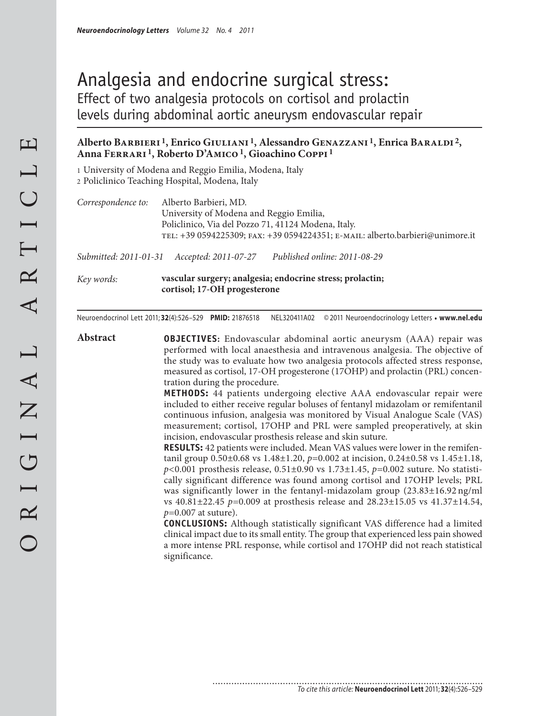# Analgesia and endocrine surgical stress: Effect of two analgesia protocols on cortisol and prolactin levels during abdominal aortic aneurysm endovascular repair

# **Alberto Barbieri 1, Enrico Giuliani 1, Alessandro Genazzani 1, Enrica Baraldi 2, Anna Ferrari 1, Roberto D'Amico 1, Gioachino Coppi 1**

1 University of Modena and Reggio Emilia, Modena, Italy 2 Policlinico Teaching Hospital, Modena, Italy

*Correspondence to:* Alberto Barbieri, MD. University of Modena and Reggio Emilia, Policlinico, Via del Pozzo 71, 41124 Modena, Italy. tel: +39 0594225309; fax: +39 0594224351; e-mail: alberto.barbieri@unimore.it

*Submitted: 2011-01-31 Accepted: 2011-07-27 Published online: 2011-08-29*

*Key words:* **vascular surgery; analgesia; endocrine stress; prolactin; cortisol; 17-OH progesterone**

............................

Neuroendocrinol Lett 2011; **32**(4):526–529 **PMID:** 21876518 NEL320411A02 © 2011 Neuroendocrinology Letters • **www.nel.edu**

**Abstract OBJECTIVES:** Endovascular abdominal aortic aneurysm (AAA) repair was performed with local anaesthesia and intravenous analgesia. The objective of the study was to evaluate how two analgesia protocols affected stress response, measured as cortisol, 17-OH progesterone (17OHP) and prolactin (PRL) concentration during the procedure.

> **METHODS:** 44 patients undergoing elective AAA endovascular repair were included to either receive regular boluses of fentanyl midazolam or remifentanil continuous infusion, analgesia was monitored by Visual Analogue Scale (VAS) measurement; cortisol, 17OHP and PRL were sampled preoperatively, at skin incision, endovascular prosthesis release and skin suture.

> **RESULTS:** 42 patients were included. Mean VAS values were lower in the remifentanil group 0.50±0.68 vs 1.48±1.20, *p=*0.002 at incision, 0.24±0.58 vs 1.45±1.18, *p<*0.001 prosthesis release, 0.51±0.90 vs 1.73±1.45, *p=*0.002 suture. No statistically significant difference was found among cortisol and 17OHP levels; PRL was significantly lower in the fentanyl-midazolam group (23.83±16.92 ng/ml vs 40.81±22.45 *p=*0.009 at prosthesis release and 28.23±15.05 vs 41.37±14.54, *p=*0.007 at suture).

> **CONCLUSIONS:** Although statistically significant VAS difference had a limited clinical impact due to its small entity. The group that experienced less pain showed a more intense PRL response, while cortisol and 17OHP did not reach statistical significance.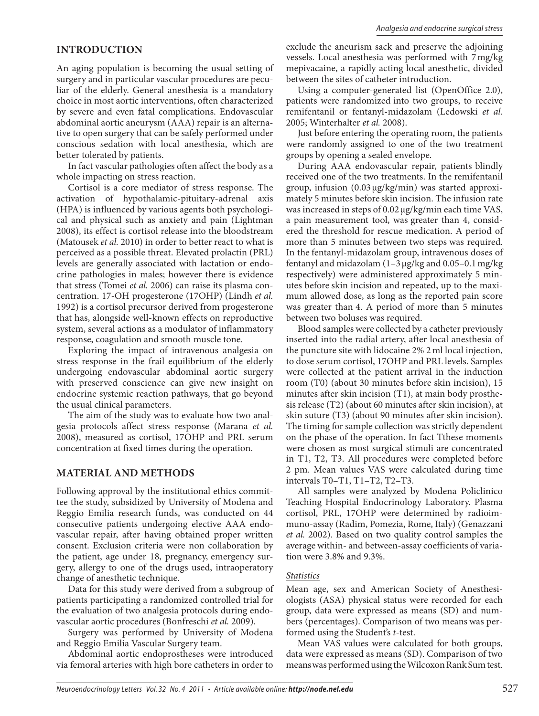## **INTRODUCTION**

An aging population is becoming the usual setting of surgery and in particular vascular procedures are peculiar of the elderly. General anesthesia is a mandatory choice in most aortic interventions, often characterized by severe and even fatal complications. Endovascular abdominal aortic aneurysm (AAA) repair is an alternative to open surgery that can be safely performed under conscious sedation with local anesthesia, which are better tolerated by patients.

In fact vascular pathologies often affect the body as a whole impacting on stress reaction.

Cortisol is a core mediator of stress response. The activation of hypothalamic-pituitary-adrenal axis (HPA) is influenced by various agents both psychological and physical such as anxiety and pain (Lightman 2008), its effect is cortisol release into the bloodstream (Matousek *et al.* 2010) in order to better react to what is perceived as a possible threat. Elevated prolactin (PRL) levels are generally associated with lactation or endocrine pathologies in males; however there is evidence that stress (Tomei *et al.* 2006) can raise its plasma concentration. 17-OH progesterone (17OHP) (Lindh *et al.* 1992) is a cortisol precursor derived from progesterone that has, alongside well-known effects on reproductive system, several actions as a modulator of inflammatory response, coagulation and smooth muscle tone.

Exploring the impact of intravenous analgesia on stress response in the frail equilibrium of the elderly undergoing endovascular abdominal aortic surgery with preserved conscience can give new insight on endocrine systemic reaction pathways, that go beyond the usual clinical parameters.

The aim of the study was to evaluate how two analgesia protocols affect stress response (Marana *et al.* 2008), measured as cortisol, 17OHP and PRL serum concentration at fixed times during the operation.

## **MATERIAL AND METHODS**

Following approval by the institutional ethics committee the study, subsidized by University of Modena and Reggio Emilia research funds, was conducted on 44 consecutive patients undergoing elective AAA endovascular repair, after having obtained proper written consent. Exclusion criteria were non collaboration by the patient, age under 18, pregnancy, emergency surgery, allergy to one of the drugs used, intraoperatory change of anesthetic technique.

Data for this study were derived from a subgroup of patients participating a randomized controlled trial for the evaluation of two analgesia protocols during endovascular aortic procedures (Bonfreschi *et al.* 2009).

Surgery was performed by University of Modena and Reggio Emilia Vascular Surgery team.

Abdominal aortic endoprostheses were introduced via femoral arteries with high bore catheters in order to

exclude the aneurism sack and preserve the adjoining vessels. Local anesthesia was performed with 7 mg/kg mepivacaine, a rapidly acting local anesthetic, divided between the sites of catheter introduction.

Using a computer-generated list (OpenOffice 2.0), patients were randomized into two groups, to receive remifentanil or fentanyl-midazolam (Ledowski *et al.* 2005; Winterhalter *et al.* 2008).

Just before entering the operating room, the patients were randomly assigned to one of the two treatment groups by opening a sealed envelope.

During AAA endovascular repair, patients blindly received one of the two treatments. In the remifentanil group, infusion (0.03 μg/kg/min) was started approximately 5 minutes before skin incision. The infusion rate was increased in steps of 0.02 μg/kg/min each time VAS, a pain measurement tool, was greater than 4, considered the threshold for rescue medication. A period of more than 5 minutes between two steps was required. In the fentanyl-midazolam group, intravenous doses of fentanyl and midazolam (1–3 μg/kg and 0.05–0.1 mg/kg respectively) were administered approximately 5 minutes before skin incision and repeated, up to the maximum allowed dose, as long as the reported pain score was greater than 4. A period of more than 5 minutes between two boluses was required.

Blood samples were collected by a catheter previously inserted into the radial artery, after local anesthesia of the puncture site with lidocaine 2% 2 ml local injection, to dose serum cortisol, 17OHP and PRL levels. Samples were collected at the patient arrival in the induction room (T0) (about 30 minutes before skin incision), 15 minutes after skin incision (T1), at main body prosthesis release (T2) (about 60 minutes after skin incision), at skin suture (T3) (about 90 minutes after skin incision). The timing for sample collection was strictly dependent on the phase of the operation. In fact Tthese moments were chosen as most surgical stimuli are concentrated in T1, T2, T3. All procedures were completed before 2 pm. Mean values VAS were calculated during time intervals T0–T1, T1–T2, T2–T3.

All samples were analyzed by Modena Policlinico Teaching Hospital Endocrinology Laboratory. Plasma cortisol, PRL, 17OHP were determined by radioimmuno-assay (Radim, Pomezia, Rome, Italy) (Genazzani *et al.* 2002). Based on two quality control samples the average within- and between-assay coefficients of variation were 3.8% and 9.3%.

### *Statistics*

Mean age, sex and American Society of Anesthesiologists (ASA) physical status were recorded for each group, data were expressed as means (SD) and numbers (percentages). Comparison of two means was performed using the Student's *t*-test.

Mean VAS values were calculated for both groups, data were expressed as means (SD). Comparison of two meanswas performed using the Wilcoxon Rank Sum test.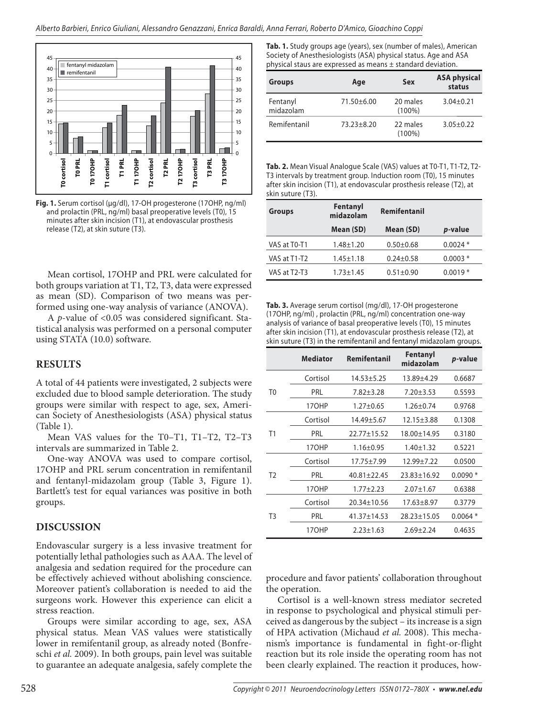

**Fig. 1.** Serum cortisol (μg/dl), 17-OH progesterone (17OHP, ng/ml) and prolactin (PRL, ng/ml) basal preoperative levels (T0), 15 minutes after skin incision (T1), at endovascular prosthesis release (T2), at skin suture (T3).

Mean cortisol, 17OHP and PRL were calculated for both groups variation at T1, T2, T3, data were expressed as mean (SD). Comparison of two means was performed using one-way analysis of variance (ANOVA).

A *p*-value of <0.05 was considered significant. Statistical analysis was performed on a personal computer using STATA (10.0) software.

# **RESULTS**

A total of 44 patients were investigated, 2 subjects were excluded due to blood sample deterioration. The study groups were similar with respect to age, sex, American Society of Anesthesiologists (ASA) physical status (Table 1).

Mean VAS values for the T0–T1, T1–T2, T2–T3 intervals are summarized in Table 2.

One-way ANOVA was used to compare cortisol, 17OHP and PRL serum concentration in remifentanil and fentanyl-midazolam group (Table 3, Figure 1). Bartlett's test for equal variances was positive in both groups.

# **DISCUSSION**

Endovascular surgery is a less invasive treatment for potentially lethal pathologies such as AAA. The level of analgesia and sedation required for the procedure can be effectively achieved without abolishing conscience. Moreover patient's collaboration is needed to aid the surgeons work. However this experience can elicit a stress reaction.

Groups were similar according to age, sex, ASA physical status. Mean VAS values were statistically lower in remifentanil group, as already noted (Bonfreschi *et al.* 2009). In both groups, pain level was suitable to guarantee an adequate analgesia, safely complete the **Tab. 1.** Study groups age (years), sex (number of males), American Society of Anesthesiologists (ASA) physical status. Age and ASA physical staus are expressed as means ± standard deviation.

| <b>Groups</b>         | Age              | Sex                   | <b>ASA physical</b><br>status |
|-----------------------|------------------|-----------------------|-------------------------------|
| Fentanyl<br>midazolam | 71.50±6.00       | 20 males<br>$(100\%)$ | $3.04 \pm 0.21$               |
| Remifentanil          | $73.23 \pm 8.20$ | 22 males<br>$(100\%)$ | $3.05 \pm 0.22$               |

**Tab. 2.** Mean Visual Analogue Scale (VAS) values at T0-T1, T1-T2, T2- T3 intervals by treatment group. Induction room (T0), 15 minutes after skin incision (T1), at endovascular prosthesis release (T2), at skin suture (T3).

| <b>Groups</b> | Fentanyl<br>midazolam | Remifentanil    |                 |
|---------------|-----------------------|-----------------|-----------------|
|               | Mean (SD)             | Mean (SD)       | <i>p</i> -value |
| VAS at T0-T1  | $1.48 + 1.20$         | $0.50 \pm 0.68$ | $0.0024*$       |
| VAS at T1-T2  | $1.45 \pm 1.18$       | $0.24 \pm 0.58$ | $0.0003*$       |
| VAS at T2-T3  | $1.73 \pm 1.45$       | $0.51 \pm 0.90$ | $0.0019*$       |

**Tab. 3.** Average serum cortisol (mg/dl), 17-OH progesterone (17OHP, ng/ml) , prolactin (PRL, ng/ml) concentration one-way analysis of variance of basal preoperative levels (T0), 15 minutes after skin incision (T1), at endovascular prosthesis release (T2), at skin suture (T3) in the remifentanil and fentanyl midazolam groups.

|                | <b>Mediator</b> | Remifentanil      | Fentanyl<br>midazolam | <i>p</i> -value |
|----------------|-----------------|-------------------|-----------------------|-----------------|
| T <sub>0</sub> | Cortisol        | 14.53±5.25        | 13.89±4.29            | 0.6687          |
|                | PRL             | $7.82 \pm 3.28$   | $7.20 \pm 3.53$       | 0.5593          |
|                | 17OHP           | $1.27 \pm 0.65$   | $1.26 \pm 0.74$       | 0.9768          |
| T1             | Cortisol        | 14.49±5.67        | 12.15±3.88            | 0.1308          |
|                | PRL             | $22.77 \pm 15.52$ | 18.00±14.95           | 0.3180          |
|                | 17OHP           | $1.16 \pm 0.95$   | $1.40 \pm 1.32$       | 0.5221          |
| T <sub>2</sub> | Cortisol        | 17.75±7.99        | 12.99±7.22            | 0.0500          |
|                | PRL             | $40.81 \pm 22.45$ | $23.83 \pm 16.92$     | $0.0090*$       |
|                | 170HP           | $1.77 + 2.23$     | $2.07 \pm 1.67$       | 0.6388          |
| T3             | Cortisol        | 20.34±10.56       | $17.63 \pm 8.97$      | 0.3779          |
|                | PRL             | 41.37±14.53       | 28.23±15.05           | $0.0064*$       |
|                | 17OHP           | $2.23 \pm 1.63$   | $2.69 + 2.24$         | 0.4635          |

procedure and favor patients' collaboration throughout the operation.

Cortisol is a well-known stress mediator secreted in response to psychological and physical stimuli perceived as dangerous by the subject – its increase is a sign of HPA activation (Michaud *et al.* 2008). This mechanism's importance is fundamental in fight-or-flight reaction but its role inside the operating room has not been clearly explained. The reaction it produces, how